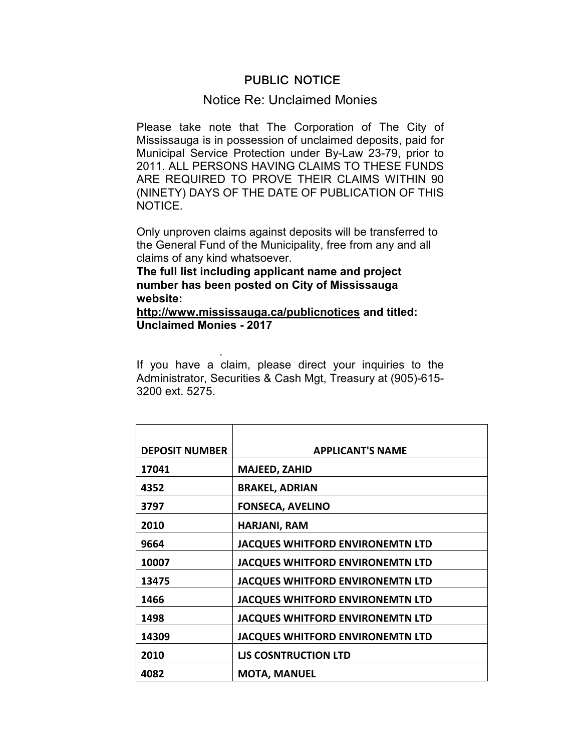## **PUBLIC NOTICE**

## Notice Re: Unclaimed Monies

Please take note that The Corporation of The City of Mississauga is in possession of unclaimed deposits, paid for Municipal Service Protection under By-Law 23-79, prior to 2011. ALL PERSONS HAVING CLAIMS TO THESE FUNDS ARE REQUIRED TO PROVE THEIR CLAIMS WITHIN 90 (NINETY) DAYS OF THE DATE OF PUBLICATION OF THIS NOTICE.

Only unproven claims against deposits will be transferred to the General Fund of the Municipality, free from any and all claims of any kind whatsoever.

**The full list including applicant name and project number has been posted on City of Mississauga website:** 

.

## **http://www.mississauga.ca/publicnotices and titled: Unclaimed Monies - 2017**

If you have a claim, please direct your inquiries to the Administrator, Securities & Cash Mgt, Treasury at (905)-615- 3200 ext. 5275.

| <b>DEPOSIT NUMBER</b> | <b>APPLICANT'S NAME</b>                 |
|-----------------------|-----------------------------------------|
| 17041                 | <b>MAJEED, ZAHID</b>                    |
| 4352                  | <b>BRAKEL, ADRIAN</b>                   |
| 3797                  | <b>FONSECA, AVELINO</b>                 |
| 2010                  | <b>HARJANI, RAM</b>                     |
| 9664                  | <b>JACQUES WHITFORD ENVIRONEMTN LTD</b> |
| 10007                 | <b>JACQUES WHITFORD ENVIRONEMTN LTD</b> |
| 13475                 | <b>JACQUES WHITFORD ENVIRONEMTN LTD</b> |
| 1466                  | <b>JACQUES WHITFORD ENVIRONEMTN LTD</b> |
| 1498                  | <b>JACQUES WHITFORD ENVIRONEMTN LTD</b> |
| 14309                 | <b>JACQUES WHITFORD ENVIRONEMTN LTD</b> |
| 2010                  | <b>LIS COSNTRUCTION LTD</b>             |
| 4082                  | <b>MOTA, MANUEL</b>                     |